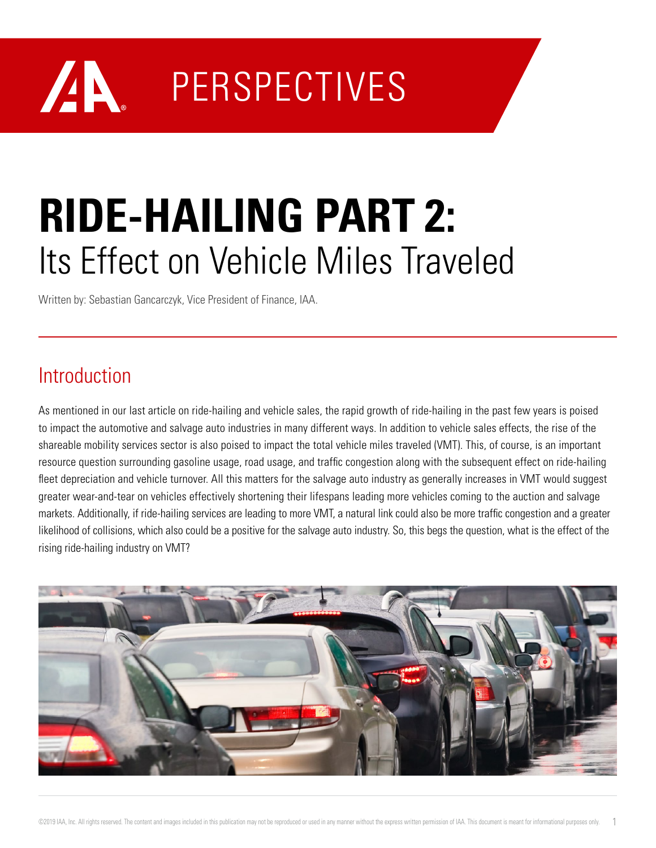## AN D **PERSPECTIVES**

# **RIDE-HAILING PART 2:**  Its Effect on Vehicle Miles Traveled

Written by: Sebastian Gancarczyk, Vice President of Finance, IAA.

#### Introduction

As mentioned in our last article on ride-hailing and vehicle sales, the rapid growth of ride-hailing in the past few years is poised to impact the automotive and salvage auto industries in many different ways. In addition to vehicle sales effects, the rise of the shareable mobility services sector is also poised to impact the total vehicle miles traveled (VMT). This, of course, is an important resource question surrounding gasoline usage, road usage, and traffic congestion along with the subsequent effect on ride-hailing fleet depreciation and vehicle turnover. All this matters for the salvage auto industry as generally increases in VMT would suggest greater wear-and-tear on vehicles effectively shortening their lifespans leading more vehicles coming to the auction and salvage markets. Additionally, if ride-hailing services are leading to more VMT, a natural link could also be more traffic congestion and a greater likelihood of collisions, which also could be a positive for the salvage auto industry. So, this begs the question, what is the effect of the rising ride-hailing industry on VMT?

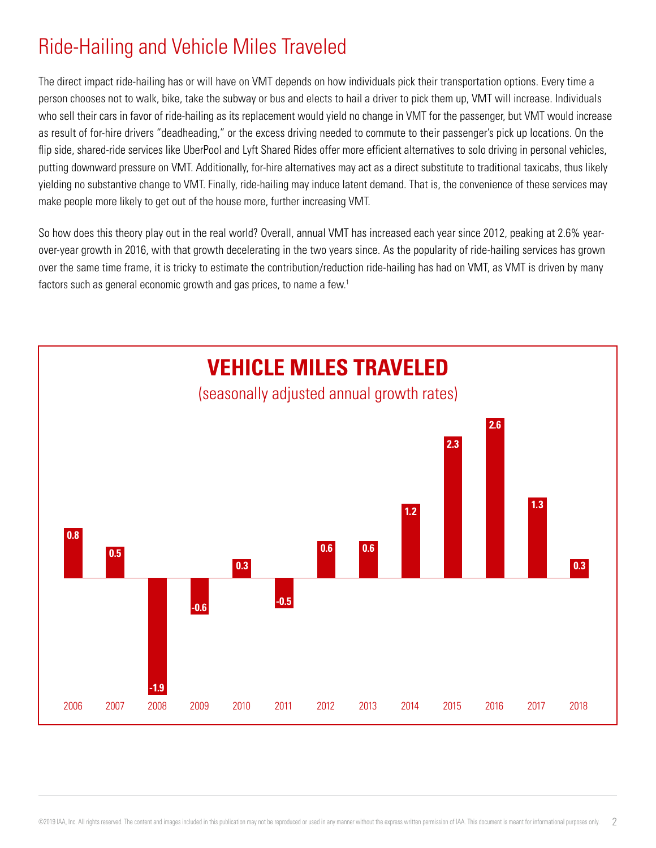### Ride-Hailing and Vehicle Miles Traveled

The direct impact ride-hailing has or will have on VMT depends on how individuals pick their transportation options. Every time a person chooses not to walk, bike, take the subway or bus and elects to hail a driver to pick them up, VMT will increase. Individuals who sell their cars in favor of ride-hailing as its replacement would yield no change in VMT for the passenger, but VMT would increase as result of for-hire drivers "deadheading," or the excess driving needed to commute to their passenger's pick up locations. On the flip side, shared-ride services like UberPool and Lyft Shared Rides offer more efficient alternatives to solo driving in personal vehicles, putting downward pressure on VMT. Additionally, for-hire alternatives may act as a direct substitute to traditional taxicabs, thus likely yielding no substantive change to VMT. Finally, ride-hailing may induce latent demand. That is, the convenience of these services may make people more likely to get out of the house more, further increasing VMT.

So how does this theory play out in the real world? Overall, annual VMT has increased each year since 2012, peaking at 2.6% yearover-year growth in 2016, with that growth decelerating in the two years since. As the popularity of ride-hailing services has grown over the same time frame, it is tricky to estimate the contribution/reduction ride-hailing has had on VMT, as VMT is driven by many factors such as general economic growth and gas prices, to name a few.<sup>1</sup>

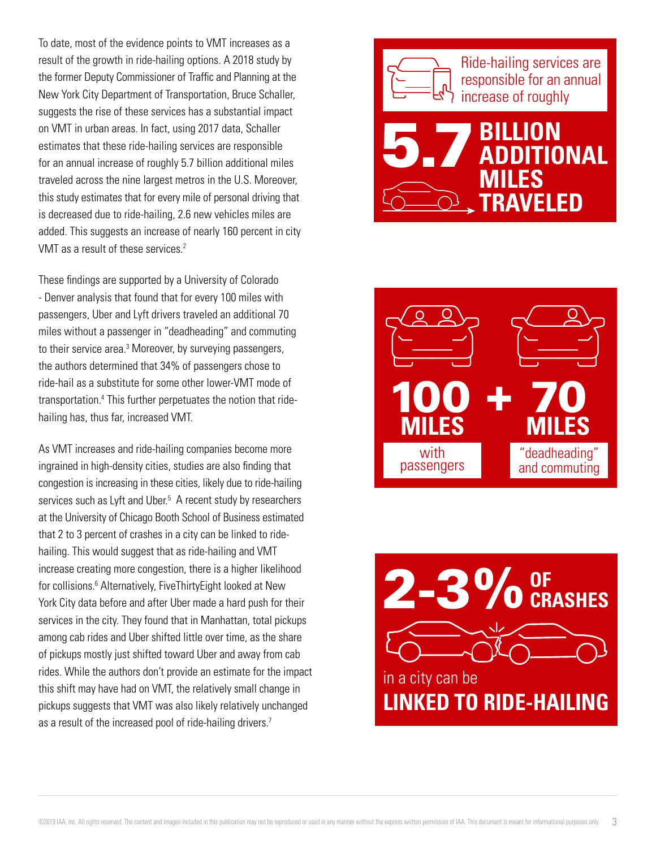To date, most of the evidence points to VMT increases as a result of the growth in ride-hailing options. A 2018 study by the former Deputy Commissioner of Traffic and Planning at the New York City Department of Transportation, Bruce Schaller, suggests the rise of these services has a substantial impact on VMT in urban areas. In fact, using 2017 data, Schaller estimates that these ride-hailing services are responsible for an annual increase of roughly 5.7 billion additional miles traveled across the nine largest metros in the U.S. Moreover, this study estimates that for every mile of personal driving that is decreased due to ride-hailing, 2.6 new vehicles miles are added. This suggests an increase of nearly 160 percent in city VMT as a result of these services.<sup>2</sup>

These findings are supported by a University of Colorado - Denver analysis that found that for every 100 miles with passengers, Uber and Lyft drivers traveled an additional 70 miles without a passenger in "deadheading" and commuting to their service area.<sup>3</sup> Moreover, by surveying passengers, the authors determined that 34% of passengers chose to ride-hail as a substitute for some other lower-VMT mode of transportation.<sup>4</sup> This further perpetuates the notion that ridehailing has, thus far, increased VMT.

As VMT increases and ride-hailing companies become more ingrained in high-density cities, studies are also finding that congestion is increasing in these cities, likely due to ride-hailing services such as Lyft and Uber.<sup>5</sup> A recent study by researchers at the University of Chicago Booth School of Business estimated that 2 to 3 percent of crashes in a city can be linked to ridehailing. This would suggest that as ride-hailing and VMT increase creating more congestion, there is a higher likelihood for collisions.<sup>6</sup> Alternatively, FiveThirtyEight looked at New York City data before and after Uber made a hard push for their services in the city. They found that in Manhattan, total pickups among cab rides and Uber shifted little over time, as the share of pickups mostly just shifted toward Uber and away from cab rides. While the authors don't provide an estimate for the impact this shift may have had on VMT, the relatively small change in pickups suggests that VMT was also likely relatively unchanged as a result of the increased pool of ride-hailing drivers.<sup>7</sup>